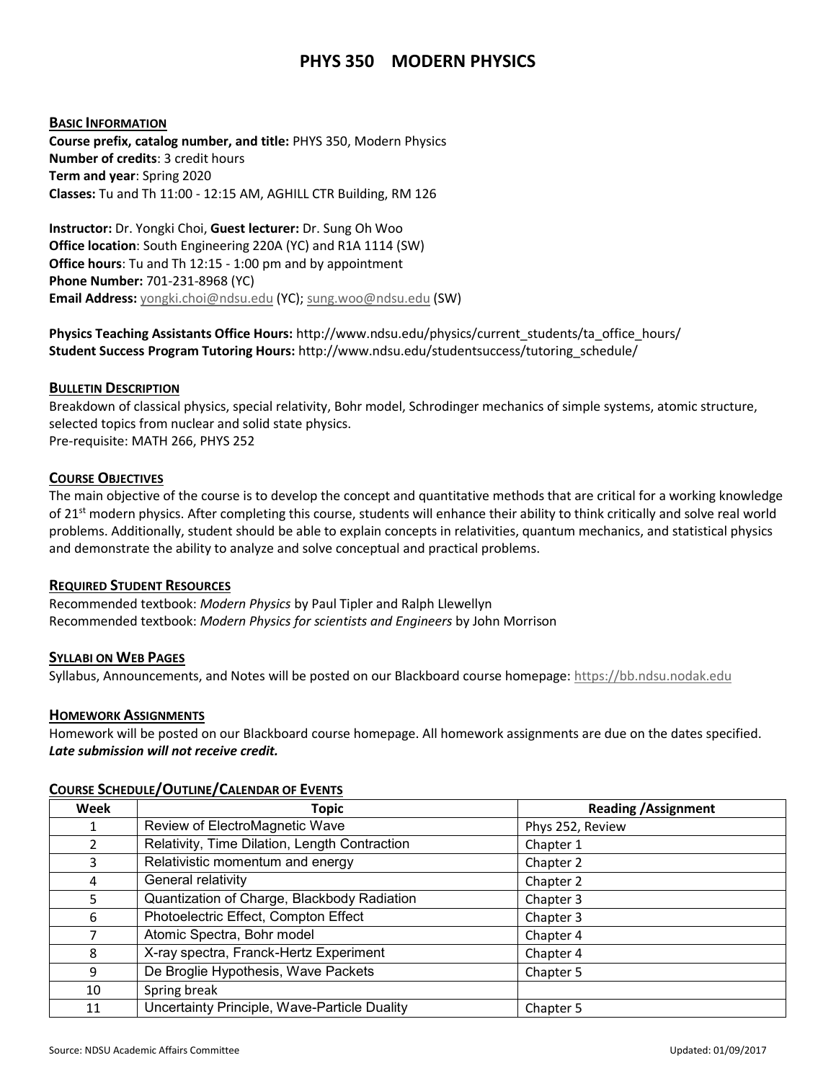# **PHYS 350 MODERN PHYSICS**

## **BASIC INFORMATION**

**Course prefix, catalog number, and title:** PHYS 350, Modern Physics **Number of credits**: 3 credit hours **Term and year**: Spring 2020 **Classes:** Tu and Th 11:00 - 12:15 AM, AGHILL CTR Building, RM 126

**Instructor:** Dr. Yongki Choi, **Guest lecturer:** Dr. Sung Oh Woo **Office location**: South Engineering 220A (YC) and R1A 1114 (SW) **Office hours**: Tu and Th 12:15 - 1:00 pm and by appointment **Phone Number:** 701-231-8968 (YC) **Email Address:** [yongki.choi@ndsu.edu](mailto:yongki.choi@ndsu.edu) (YC)[; sung.woo@ndsu.edu](mailto:sung.woo@ndsu.edu) (SW)

**Physics Teaching Assistants Office Hours:** http://www.ndsu.edu/physics/current\_students/ta\_office\_hours/ **Student Success Program Tutoring Hours:** http://www.ndsu.edu/studentsuccess/tutoring\_schedule/

## **BULLETIN DESCRIPTION**

Breakdown of classical physics, special relativity, Bohr model, Schrodinger mechanics of simple systems, atomic structure, selected topics from nuclear and solid state physics. Pre-requisite: MATH 266, PHYS 252

## **COURSE OBJECTIVES**

The main objective of the course is to develop the concept and quantitative methods that are critical for a working knowledge of 21<sup>st</sup> modern physics. After completing this course, students will enhance their ability to think critically and solve real world problems. Additionally, student should be able to explain concepts in relativities, quantum mechanics, and statistical physics and demonstrate the ability to analyze and solve conceptual and practical problems.

#### **REQUIRED STUDENT RESOURCES**

Recommended textbook: *Modern Physics* by Paul Tipler and Ralph Llewellyn Recommended textbook: *Modern Physics for scientists and Engineers* by John Morrison

#### **SYLLABI ON WEB PAGES**

Syllabus, Announcements, and Notes will be posted on our Blackboard course homepage[: https://bb.ndsu.nodak.edu](https://bb.ndsu.nodak.edu/)

#### **HOMEWORK ASSIGNMENTS**

Homework will be posted on our Blackboard course homepage. All homework assignments are due on the dates specified. *Late submission will not receive credit.*

| Week          | <b>Topic</b>                                  | <b>Reading / Assignment</b> |
|---------------|-----------------------------------------------|-----------------------------|
| 1             | Review of ElectroMagnetic Wave                | Phys 252, Review            |
| $\mathcal{P}$ | Relativity, Time Dilation, Length Contraction | Chapter 1                   |
| 3             | Relativistic momentum and energy              | Chapter 2                   |
| 4             | General relativity                            | Chapter 2                   |
| 5             | Quantization of Charge, Blackbody Radiation   | Chapter 3                   |
| 6             | Photoelectric Effect, Compton Effect          | Chapter 3                   |
| 7             | Atomic Spectra, Bohr model                    | Chapter 4                   |
| 8             | X-ray spectra, Franck-Hertz Experiment        | Chapter 4                   |
| 9             | De Broglie Hypothesis, Wave Packets           | Chapter 5                   |
| 10            | Spring break                                  |                             |
| 11            | Uncertainty Principle, Wave-Particle Duality  | Chapter 5                   |

#### **COURSE SCHEDULE/OUTLINE/CALENDAR OF EVENTS**